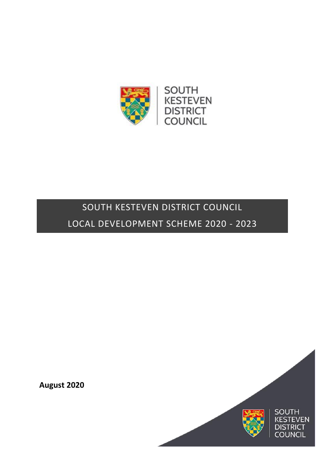

# SOUTH KESTEVEN DISTRICT COUNCIL LOCAL DEVELOPMENT SCHEME 2020 - 2023

**August 2020**

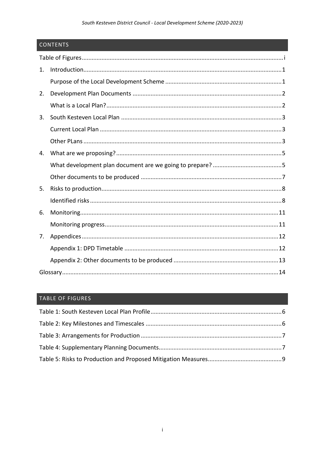# South Kesteven District Council - Local Development Scheme (2020-2023)

# CONTENTS

| 1. |  |
|----|--|
|    |  |
| 2. |  |
|    |  |
| 3. |  |
|    |  |
|    |  |
| 4. |  |
|    |  |
|    |  |
| 5. |  |
|    |  |
| 6. |  |
|    |  |
| 7. |  |
|    |  |
|    |  |
|    |  |

# <span id="page-1-0"></span>TABLE OF FIGURES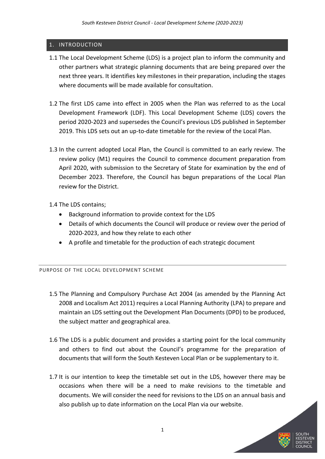# <span id="page-2-0"></span>1. INTRODUCTION

- 1.1 The Local Development Scheme (LDS) is a project plan to inform the community and other partners what strategic planning documents that are being prepared over the next three years. It identifies key milestones in their preparation, including the stages where documents will be made available for consultation.
- 1.2 The first LDS came into effect in 2005 when the Plan was referred to as the Local Development Framework (LDF). This Local Development Scheme (LDS) covers the period 2020-2023 and supersedes the Council's previous LDS published in September 2019. This LDS sets out an up-to-date timetable for the review of the Local Plan.
- 1.3 In the current adopted Local Plan, the Council is committed to an early review. The review policy (M1) requires the Council to commence document preparation from April 2020, with submission to the Secretary of State for examination by the end of December 2023. Therefore, the Council has begun preparations of the Local Plan review for the District.

1.4 The LDS contains;

- Background information to provide context for the LDS
- Details of which documents the Council will produce or review over the period of 2020-2023, and how they relate to each other
- A profile and timetable for the production of each strategic document

# <span id="page-2-1"></span>PURPOSE OF THE LOCAL DEVELOPMENT SCHEME

- 1.5 The Planning and Compulsory Purchase Act 2004 (as amended by the Planning Act 2008 and Localism Act 2011) requires a Local Planning Authority (LPA) to prepare and maintain an LDS setting out the Development Plan Documents (DPD) to be produced, the subject matter and geographical area.
- 1.6 The LDS is a public document and provides a starting point for the local community and others to find out about the Council's programme for the preparation of documents that will form the South Kesteven Local Plan or be supplementary to it.
- 1.7 It is our intention to keep the timetable set out in the LDS, however there may be occasions when there will be a need to make revisions to the timetable and documents. We will consider the need for revisions to the LDS on an annual basis and also publish up to date information on the Local Plan via our website.

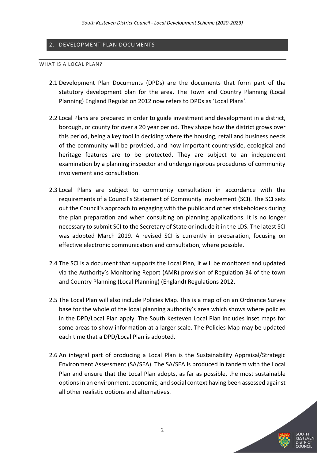## <span id="page-3-0"></span>2. DEVELOPMENT PLAN DOCUMENTS

#### <span id="page-3-1"></span>WHAT IS A LOCAL PLAN?

- 2.1 Development Plan Documents (DPDs) are the documents that form part of the statutory development plan for the area. The Town and Country Planning (Local Planning) England Regulation 2012 now refers to DPDs as 'Local Plans'.
- 2.2 Local Plans are prepared in order to guide investment and development in a district, borough, or county for over a 20 year period. They shape how the district grows over this period, being a key tool in deciding where the housing, retail and business needs of the community will be provided, and how important countryside, ecological and heritage features are to be protected. They are subject to an independent examination by a planning inspector and undergo rigorous procedures of community involvement and consultation.
- 2.3 Local Plans are subject to community consultation in accordance with the requirements of a Council's Statement of Community Involvement (SCI). The SCI sets out the Council's approach to engaging with the public and other stakeholders during the plan preparation and when consulting on planning applications. It is no longer necessary to submit SCI to the Secretary of State or include it in the LDS. The latest SCI was adopted March 2019. A revised SCI is currently in preparation, focusing on effective electronic communication and consultation, where possible.
- 2.4 The SCI is a document that supports the Local Plan, it will be monitored and updated via the Authority's Monitoring Report (AMR) provision of Regulation 34 of the town and Country Planning (Local Planning) (England) Regulations 2012.
- 2.5 The Local Plan will also include Policies Map. This is a map of on an Ordnance Survey base for the whole of the local planning authority's area which shows where policies in the DPD/Local Plan apply. The South Kesteven Local Plan includes inset maps for some areas to show information at a larger scale. The Policies Map may be updated each time that a DPD/Local Plan is adopted.
- 2.6 An integral part of producing a Local Plan is the Sustainability Appraisal/Strategic Environment Assessment (SA/SEA). The SA/SEA is produced in tandem with the Local Plan and ensure that the Local Plan adopts, as far as possible, the most sustainable options in an environment, economic, and social context having been assessed against all other realistic options and alternatives.

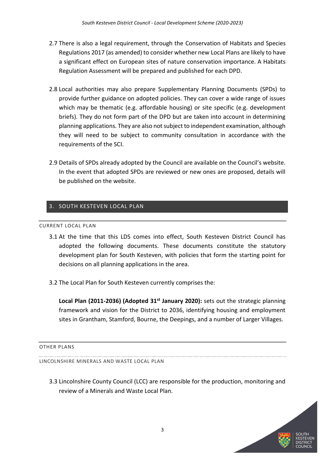- 2.7 There is also a legal requirement, through the Conservation of Habitats and Species Regulations 2017 (as amended) to consider whether new Local Plans are likely to have a significant effect on European sites of nature conservation importance. A Habitats Regulation Assessment will be prepared and published for each DPD.
- 2.8 Local authorities may also prepare Supplementary Planning Documents (SPDs) to provide further guidance on adopted policies. They can cover a wide range of issues which may be thematic (e.g. affordable housing) or site specific (e.g. development briefs). They do not form part of the DPD but are taken into account in determining planning applications. They are also not subject to independent examination, although they will need to be subject to community consultation in accordance with the requirements of the SCI.
- 2.9 Details of SPDs already adopted by the Council are available on the Council's website. In the event that adopted SPDs are reviewed or new ones are proposed, details will be published on the website.

# <span id="page-4-0"></span>3. SOUTH KESTEVEN LOCAL PLAN

#### <span id="page-4-1"></span>CURRENT LOCAL PLAN

- 3.1 At the time that this LDS comes into effect, South Kesteven District Council has adopted the following documents. These documents constitute the statutory development plan for South Kesteven, with policies that form the starting point for decisions on all planning applications in the area.
- 3.2 The Local Plan for South Kesteven currently comprises the:

**Local Plan (2011-2036) (Adopted 31st January 2020):** sets out the strategic planning framework and vision for the District to 2036, identifying housing and employment sites in Grantham, Stamford, Bourne, the Deepings, and a number of Larger Villages.

<span id="page-4-2"></span>OTHER PLANS

LINCOLNSHIRE MINERALS AND WASTE LOCAL PLAN

3.3 Lincolnshire County Council (LCC) are responsible for the production, monitoring and review of a Minerals and Waste Local Plan.

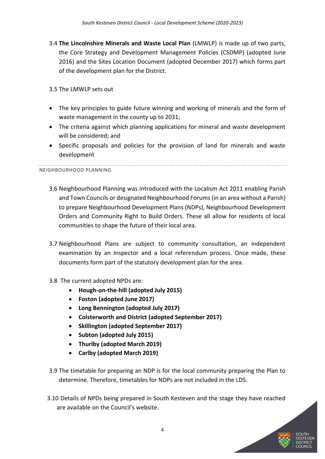3.4 **The Lincolnshire Minerals and Waste Local Plan** (LMWLP) is made up of two parts, the Core Strategy and Development Management Policies (CSDMP) (adopted June 2016) and the Sites Location Document (adopted December 2017) which forms part of the development plan for the District.

# 3.5 The LMWLP sets out

- The key principles to guide future winning and working of minerals and the form of waste management in the county up to 2031;
- The criteria against which planning applications for mineral and waste development will be considered; and
- Specific proposals and policies for the provision of land for minerals and waste development

# NEIGHBOURHOOD PLANNING

- 3.6 Neighbourhood Planning was introduced with the Localism Act 2011 enabling Parish and Town Councils or designated Neighbourhood Forums (in an area without a Parish) to prepare Neighbourhood Development Plans (NDPs), Neighbourhood Development Orders and Community Right to Build Orders. These all allow for residents of local communities to shape the future of their local area.
- 3.7 Neighbourhood Plans are subject to community consultation, an independent examination by an Inspector and a local referendum process. Once made, these documents form part of the statutory development plan for the area.
- 3.8 The current adopted NPDs are:
	- **Hough-on-the-hill (adopted July 2015)**
	- **Foston (adopted June 2017)**
	- **Long Bennington (adopted July 2017)**
	- **Colsterworth and District (adopted September 2017)**
	- **Skillington (adopted September 2017)**
	- **Subton (adopted July 2015)**
	- **Thurlby (adopted March 2019)**
	- **Carlby (adopted March 2019)**
- 3.9 The timetable for preparing an NDP is for the local community preparing the Plan to determine. Therefore, timetables for NDPs are not included in the LDS.
- 3.10 Details of NPDs being prepared in South Kesteven and the stage they have reached are available on the Council's website.

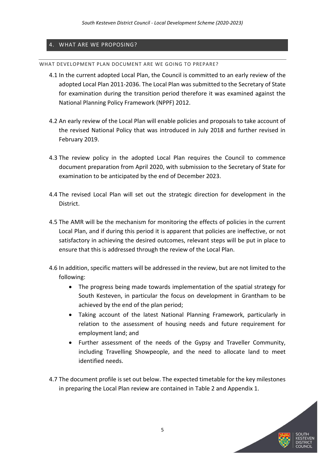# <span id="page-6-0"></span>4. WHAT ARE WE PROPOSING?

<span id="page-6-1"></span>WHAT DEVELOPMENT PLAN DOCUMENT ARE WE GOING TO PREPARE?

- 4.1 In the current adopted Local Plan, the Council is committed to an early review of the adopted Local Plan 2011-2036. The Local Plan was submitted to the Secretary of State for examination during the transition period therefore it was examined against the National Planning Policy Framework (NPPF) 2012.
- 4.2 An early review of the Local Plan will enable policies and proposals to take account of the revised National Policy that was introduced in July 2018 and further revised in February 2019.
- 4.3 The review policy in the adopted Local Plan requires the Council to commence document preparation from April 2020, with submission to the Secretary of State for examination to be anticipated by the end of December 2023.
- 4.4 The revised Local Plan will set out the strategic direction for development in the District.
- 4.5 The AMR will be the mechanism for monitoring the effects of policies in the current Local Plan, and if during this period it is apparent that policies are ineffective, or not satisfactory in achieving the desired outcomes, relevant steps will be put in place to ensure that this is addressed through the review of the Local Plan.
- 4.6 In addition, specific matters will be addressed in the review, but are not limited to the following:
	- The progress being made towards implementation of the spatial strategy for South Kesteven, in particular the focus on development in Grantham to be achieved by the end of the plan period;
	- Taking account of the latest National Planning Framework, particularly in relation to the assessment of housing needs and future requirement for employment land; and
	- Further assessment of the needs of the Gypsy and Traveller Community, including Travelling Showpeople, and the need to allocate land to meet identified needs.
- 4.7 The document profile is set out below. The expected timetable for the key milestones in preparing the Local Plan review are contained in Table 2 and Appendix 1.

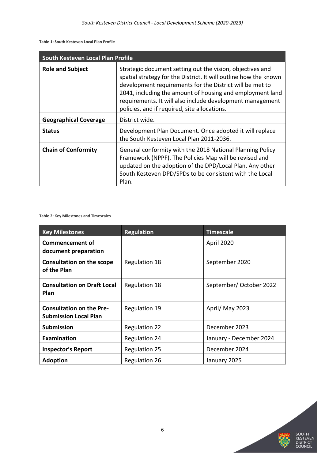<span id="page-7-0"></span>**Table 1: South Kesteven Local Plan Profile**

|                              | South Kesteven Local Plan Profile                                                                                                                                                                                                                                                                                                                                   |  |  |  |  |  |  |  |  |  |
|------------------------------|---------------------------------------------------------------------------------------------------------------------------------------------------------------------------------------------------------------------------------------------------------------------------------------------------------------------------------------------------------------------|--|--|--|--|--|--|--|--|--|
| <b>Role and Subject</b>      | Strategic document setting out the vision, objectives and<br>spatial strategy for the District. It will outline how the known<br>development requirements for the District will be met to<br>2041, including the amount of housing and employment land<br>requirements. It will also include development management<br>policies, and if required, site allocations. |  |  |  |  |  |  |  |  |  |
| <b>Geographical Coverage</b> | District wide.                                                                                                                                                                                                                                                                                                                                                      |  |  |  |  |  |  |  |  |  |
| <b>Status</b>                | Development Plan Document. Once adopted it will replace<br>the South Kesteven Local Plan 2011-2036.                                                                                                                                                                                                                                                                 |  |  |  |  |  |  |  |  |  |
| <b>Chain of Conformity</b>   | General conformity with the 2018 National Planning Policy<br>Framework (NPPF). The Policies Map will be revised and<br>updated on the adoption of the DPD/Local Plan. Any other<br>South Kesteven DPD/SPDs to be consistent with the Local<br>Plan.                                                                                                                 |  |  |  |  |  |  |  |  |  |

<span id="page-7-1"></span>**Table 2: Key Milestones and Timescales**

| <b>Key Milestones</b>                                           | <b>Regulation</b>    | <b>Timescale</b>        |
|-----------------------------------------------------------------|----------------------|-------------------------|
| <b>Commencement of</b><br>document preparation                  |                      | April 2020              |
| <b>Consultation on the scope</b><br>of the Plan                 | <b>Regulation 18</b> | September 2020          |
| <b>Consultation on Draft Local</b><br>Plan                      | <b>Regulation 18</b> | September/ October 2022 |
| <b>Consultation on the Pre-</b><br><b>Submission Local Plan</b> | Regulation 19        | April/ May 2023         |
| <b>Submission</b>                                               | <b>Regulation 22</b> | December 2023           |
| <b>Examination</b>                                              | <b>Regulation 24</b> | January - December 2024 |
| <b>Inspector's Report</b>                                       | <b>Regulation 25</b> | December 2024           |
| <b>Adoption</b>                                                 | <b>Regulation 26</b> | January 2025            |

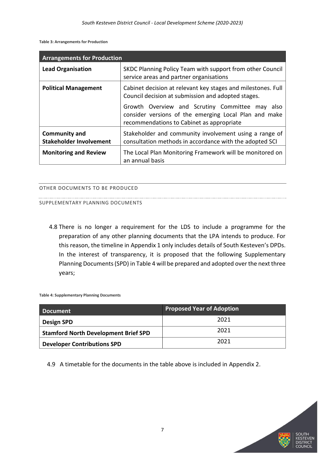<span id="page-8-1"></span>**Table 3: Arrangements for Production**

| <b>Arrangements for Production</b>                     |                                                                                                                                                          |
|--------------------------------------------------------|----------------------------------------------------------------------------------------------------------------------------------------------------------|
| <b>Lead Organisation</b>                               | SKDC Planning Policy Team with support from other Council<br>service areas and partner organisations                                                     |
| <b>Political Management</b>                            | Cabinet decision at relevant key stages and milestones. Full<br>Council decision at submission and adopted stages.                                       |
|                                                        | Growth Overview and Scrutiny Committee may<br>also<br>consider versions of the emerging Local Plan and make<br>recommendations to Cabinet as appropriate |
| <b>Community and</b><br><b>Stakeholder Involvement</b> | Stakeholder and community involvement using a range of<br>consultation methods in accordance with the adopted SCI                                        |
| <b>Monitoring and Review</b>                           | The Local Plan Monitoring Framework will be monitored on<br>an annual basis                                                                              |

## <span id="page-8-0"></span>OTHER DOCUMENTS TO BE PRODUCED

#### SUPPLEMENTARY PLANNING DOCUMENTS

4.8 There is no longer a requirement for the LDS to include a programme for the preparation of any other planning documents that the LPA intends to produce. For this reason, the timeline in Appendix 1 only includes details of South Kesteven's DPDs. In the interest of transparency, it is proposed that the following Supplementary Planning Documents (SPD) in Table 4 will be prepared and adopted over the next three years;

<span id="page-8-2"></span>**Table 4: Supplementary Planning Documents**

| <b>Document</b>                             | <b>Proposed Year of Adoption</b> |
|---------------------------------------------|----------------------------------|
| <b>Design SPD</b>                           | 2021                             |
| <b>Stamford North Development Brief SPD</b> | 2021                             |
| <b>Developer Contributions SPD</b>          | 2021                             |

4.9 A timetable for the documents in the table above is included in Appendix 2.

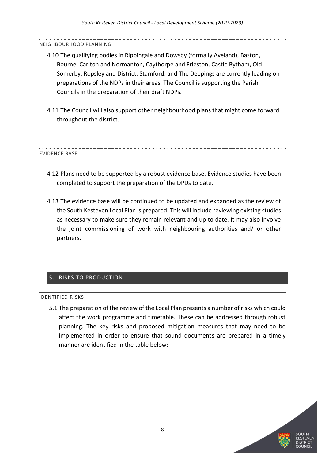#### NEIGHBOURHOOD PLANNING

- 4.10 The qualifying bodies in Rippingale and Dowsby (formally Aveland), Baston, Bourne, Carlton and Normanton, Caythorpe and Frieston, Castle Bytham, Old Somerby, Ropsley and District, Stamford, and The Deepings are currently leading on preparations of the NDPs in their areas. The Council is supporting the Parish Councils in the preparation of their draft NDPs.
- 4.11 The Council will also support other neighbourhood plans that might come forward throughout the district.

#### EVIDENCE BASE

- 4.12 Plans need to be supported by a robust evidence base. Evidence studies have been completed to support the preparation of the DPDs to date.
- 4.13 The evidence base will be continued to be updated and expanded as the review of the South Kesteven Local Plan is prepared. This will include reviewing existing studies as necessary to make sure they remain relevant and up to date. It may also involve the joint commissioning of work with neighbouring authorities and/ or other partners.

## <span id="page-9-0"></span>5. RISKS TO PRODUCTION

#### <span id="page-9-1"></span>IDENTIFIED RISKS

5.1 The preparation of the review of the Local Plan presents a number of risks which could affect the work programme and timetable. These can be addressed through robust planning. The key risks and proposed mitigation measures that may need to be implemented in order to ensure that sound documents are prepared in a timely manner are identified in the table below;

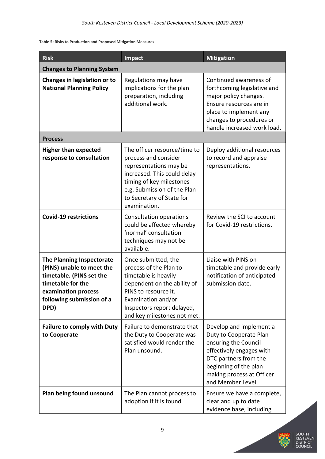#### <span id="page-10-0"></span>**Table 5: Risks to Production and Proposed Mitigation Measures**

| <b>Risk</b><br>Impact<br><b>Mitigation</b>                                                                                                                                 |                                                                                                                                                                                                                       |                                                                                                                                                                                                           |  |  |  |  |  |  |
|----------------------------------------------------------------------------------------------------------------------------------------------------------------------------|-----------------------------------------------------------------------------------------------------------------------------------------------------------------------------------------------------------------------|-----------------------------------------------------------------------------------------------------------------------------------------------------------------------------------------------------------|--|--|--|--|--|--|
| <b>Changes to Planning System</b>                                                                                                                                          |                                                                                                                                                                                                                       |                                                                                                                                                                                                           |  |  |  |  |  |  |
| Changes in legislation or to<br><b>National Planning Policy</b>                                                                                                            | Regulations may have<br>implications for the plan<br>preparation, including<br>additional work.                                                                                                                       | Continued awareness of<br>forthcoming legislative and<br>major policy changes.<br>Ensure resources are in<br>place to implement any<br>changes to procedures or<br>handle increased work load.            |  |  |  |  |  |  |
| <b>Process</b>                                                                                                                                                             |                                                                                                                                                                                                                       |                                                                                                                                                                                                           |  |  |  |  |  |  |
| <b>Higher than expected</b><br>response to consultation                                                                                                                    | The officer resource/time to<br>process and consider<br>representations may be<br>increased. This could delay<br>timing of key milestones<br>e.g. Submission of the Plan<br>to Secretary of State for<br>examination. | Deploy additional resources<br>to record and appraise<br>representations.                                                                                                                                 |  |  |  |  |  |  |
| <b>Covid-19 restrictions</b>                                                                                                                                               | Consultation operations<br>could be affected whereby<br>'normal' consultation<br>techniques may not be<br>available.                                                                                                  | Review the SCI to account<br>for Covid-19 restrictions.                                                                                                                                                   |  |  |  |  |  |  |
| <b>The Planning Inspectorate</b><br>(PINS) unable to meet the<br>timetable. (PINS set the<br>timetable for the<br>examination process<br>following submission of a<br>DPD) | Once submitted, the<br>process of the Plan to<br>timetable is heavily<br>dependent on the ability of<br>PINS to resource it.<br>Examination and/or<br>Inspectors report delayed,<br>and key milestones not met.       | Liaise with PINS on<br>timetable and provide early<br>notification of anticipated<br>submission date.                                                                                                     |  |  |  |  |  |  |
| <b>Failure to comply with Duty</b><br>to Cooperate                                                                                                                         | Failure to demonstrate that<br>the Duty to Cooperate was<br>satisfied would render the<br>Plan unsound.                                                                                                               | Develop and implement a<br>Duty to Cooperate Plan<br>ensuring the Council<br>effectively engages with<br>DTC partners from the<br>beginning of the plan<br>making process at Officer<br>and Member Level. |  |  |  |  |  |  |
| Plan being found unsound                                                                                                                                                   | The Plan cannot process to<br>adoption if it is found                                                                                                                                                                 | Ensure we have a complete,<br>clear and up to date<br>evidence base, including                                                                                                                            |  |  |  |  |  |  |



EVEN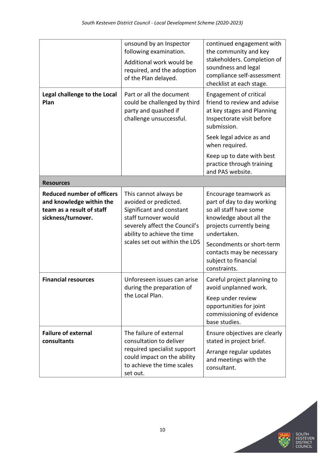|                                                                                                                  | unsound by an Inspector<br>following examination.<br>Additional work would be<br>required, and the adoption<br>of the Plan delayed.                                                                 | continued engagement with<br>the community and key<br>stakeholders. Completion of<br>soundness and legal<br>compliance self-assessment<br>checklist at each stage.                                                                                    |  |  |  |  |  |
|------------------------------------------------------------------------------------------------------------------|-----------------------------------------------------------------------------------------------------------------------------------------------------------------------------------------------------|-------------------------------------------------------------------------------------------------------------------------------------------------------------------------------------------------------------------------------------------------------|--|--|--|--|--|
| Legal challenge to the Local<br>Plan                                                                             | Part or all the document<br>could be challenged by third<br>party and quashed if<br>challenge unsuccessful.                                                                                         | <b>Engagement of critical</b><br>friend to review and advise<br>at key stages and Planning<br>Inspectorate visit before<br>submission.                                                                                                                |  |  |  |  |  |
|                                                                                                                  |                                                                                                                                                                                                     | Seek legal advice as and<br>when required.                                                                                                                                                                                                            |  |  |  |  |  |
|                                                                                                                  |                                                                                                                                                                                                     | Keep up to date with best<br>practice through training<br>and PAS website.                                                                                                                                                                            |  |  |  |  |  |
| <b>Resources</b>                                                                                                 |                                                                                                                                                                                                     |                                                                                                                                                                                                                                                       |  |  |  |  |  |
| <b>Reduced number of officers</b><br>and knowledge within the<br>team as a result of staff<br>sickness/turnover. | This cannot always be<br>avoided or predicted.<br>Significant and constant<br>staff turnover would<br>severely affect the Council's<br>ability to achieve the time<br>scales set out within the LDS | Encourage teamwork as<br>part of day to day working<br>so all staff have some<br>knowledge about all the<br>projects currently being<br>undertaken.<br>Secondments or short-term<br>contacts may be necessary<br>subject to financial<br>constraints. |  |  |  |  |  |
| <b>Financial resources</b>                                                                                       | Unforeseen issues can arise<br>during the preparation of<br>the Local Plan.                                                                                                                         | Careful project planning to<br>avoid unplanned work.<br>Keep under review<br>opportunities for joint<br>commissioning of evidence<br>base studies.                                                                                                    |  |  |  |  |  |
| <b>Failure of external</b><br>consultants                                                                        | The failure of external<br>consultation to deliver<br>required specialist support<br>could impact on the ability<br>to achieve the time scales<br>set out.                                          | Ensure objectives are clearly<br>stated in project brief.<br>Arrange regular updates<br>and meetings with the<br>consultant.                                                                                                                          |  |  |  |  |  |

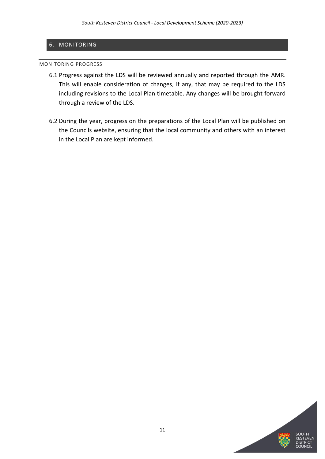## <span id="page-12-0"></span>6. MONITORING

#### <span id="page-12-1"></span>MONITORING PROGRESS

- 6.1 Progress against the LDS will be reviewed annually and reported through the AMR. This will enable consideration of changes, if any, that may be required to the LDS including revisions to the Local Plan timetable. Any changes will be brought forward through a review of the LDS.
- 6.2 During the year, progress on the preparations of the Local Plan will be published on the Councils website, ensuring that the local community and others with an interest in the Local Plan are kept informed.

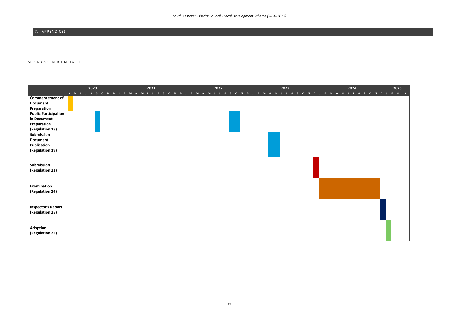<span id="page-13-0"></span>7. APPENDICES

#### <span id="page-13-1"></span>APPENDIX 1: DPD TIMETABLE

|                                              | 2020 | 2021<br>A M J J A S O N D J F M A M J J A S O N D J F M A M J J A S O N D J F M A M J J A S O N D J F M A | 2022 | 2023 | 2024 | 2025 |
|----------------------------------------------|------|-----------------------------------------------------------------------------------------------------------|------|------|------|------|
| <b>Commencement of</b>                       |      |                                                                                                           |      |      |      |      |
| <b>Document</b>                              |      |                                                                                                           |      |      |      |      |
| Preparation                                  |      |                                                                                                           |      |      |      |      |
| <b>Public Participation</b>                  |      |                                                                                                           |      |      |      |      |
| in Document                                  |      |                                                                                                           |      |      |      |      |
| Preparation                                  |      |                                                                                                           |      |      |      |      |
| (Regulation 18)                              |      |                                                                                                           |      |      |      |      |
| Submission                                   |      |                                                                                                           |      |      |      |      |
| <b>Document</b>                              |      |                                                                                                           |      |      |      |      |
| Publication                                  |      |                                                                                                           |      |      |      |      |
| (Regulation 19)                              |      |                                                                                                           |      |      |      |      |
|                                              |      |                                                                                                           |      |      |      |      |
| Submission<br>(Regulation 22)                |      |                                                                                                           |      |      |      |      |
| Examination<br>(Regulation 24)               |      |                                                                                                           |      |      |      |      |
| <b>Inspector's Report</b><br>(Regulation 25) |      |                                                                                                           |      |      |      |      |
| Adoption<br>(Regulation 25)                  |      |                                                                                                           |      |      |      |      |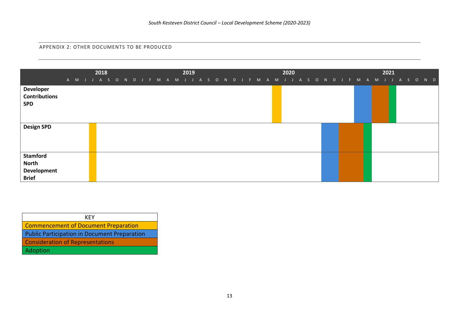APPENDIX 2: OTHER DOCUMENTS TO BE PRODUCED

|                                                                       | A M J J A S O N D J F M A M J J A S O N D J F M A M J J A S O N D J F M A M J J A S O N D | 2018 |  |  | 2019 |  |  |  | 2020 |  |  |  | 2021 |  |  |
|-----------------------------------------------------------------------|-------------------------------------------------------------------------------------------|------|--|--|------|--|--|--|------|--|--|--|------|--|--|
| <b>Developer</b><br><b>Contributions</b><br><b>SPD</b>                |                                                                                           |      |  |  |      |  |  |  |      |  |  |  |      |  |  |
| <b>Design SPD</b>                                                     |                                                                                           |      |  |  |      |  |  |  |      |  |  |  |      |  |  |
| <b>Stamford</b><br><b>North</b><br><b>Development</b><br><b>Brief</b> |                                                                                           |      |  |  |      |  |  |  |      |  |  |  |      |  |  |

<span id="page-14-0"></span>

| <b>KFY</b>                                          |
|-----------------------------------------------------|
| <b>Commencement of Document Preparation</b>         |
| <b>Public Participation in Document Preparation</b> |
| <b>Consideration of Representations</b>             |
| Adoption                                            |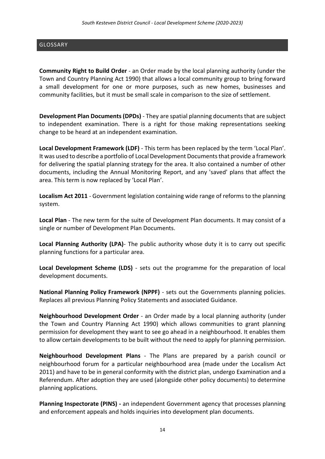# <span id="page-15-0"></span>GLOSSARY

**Community Right to Build Order** - an Order made by the local planning authority (under the Town and Country Planning Act 1990) that allows a local community group to bring forward a small development for one or more purposes, such as new homes, businesses and community facilities, but it must be small scale in comparison to the size of settlement.

**Development Plan Documents (DPDs)** - They are spatial planning documents that are subject to independent examination. There is a right for those making representations seeking change to be heard at an independent examination.

**Local Development Framework (LDF)** - This term has been replaced by the term 'Local Plan'. It was used to describe a portfolio of Local Development Documents that provide a framework for delivering the spatial planning strategy for the area. It also contained a number of other documents, including the Annual Monitoring Report, and any 'saved' plans that affect the area. This term is now replaced by 'Local Plan'.

**Localism Act 2011** - Government legislation containing wide range of reforms to the planning system.

**Local Plan** - The new term for the suite of Development Plan documents. It may consist of a single or number of Development Plan Documents.

**Local Planning Authority (LPA)**- The public authority whose duty it is to carry out specific planning functions for a particular area.

**Local Development Scheme (LDS)** - sets out the programme for the preparation of local development documents.

**National Planning Policy Framework (NPPF)** - sets out the Governments planning policies. Replaces all previous Planning Policy Statements and associated Guidance.

**Neighbourhood Development Order** - an Order made by a local planning authority (under the Town and Country Planning Act 1990) which allows communities to grant planning permission for development they want to see go ahead in a neighbourhood. It enables them to allow certain developments to be built without the need to apply for planning permission.

**Neighbourhood Development Plans** - The Plans are prepared by a parish council or neighbourhood forum for a particular neighbourhood area (made under the Localism Act 2011) and have to be in general conformity with the district plan, undergo Examination and a Referendum. After adoption they are used (alongside other policy documents) to determine planning applications.

**Planning Inspectorate (PINS) -** an independent Government agency that processes planning and enforcement appeals and holds inquiries into development plan documents.